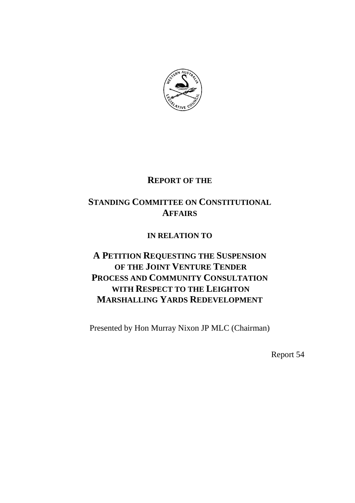

# **REPORT OF THE**

# **STANDING COMMITTEE ON CONSTITUTIONAL AFFAIRS**

# **IN RELATION TO**

# **A PETITION REQUESTING THE SUSPENSION OF THE JOINT VENTURE TENDER PROCESS AND COMMUNITY CONSULTATION WITH RESPECT TO THE LEIGHTON MARSHALLING YARDS REDEVELOPMENT**

Presented by Hon Murray Nixon JP MLC (Chairman)

Report 54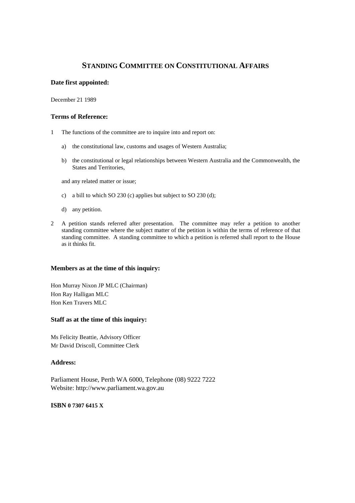# **STANDING COMMITTEE ON CONSTITUTIONAL AFFAIRS**

## **Date first appointed:**

December 21 1989

#### **Terms of Reference:**

- 1 The functions of the committee are to inquire into and report on:
	- a) the constitutional law, customs and usages of Western Australia;
	- b) the constitutional or legal relationships between Western Australia and the Commonwealth, the States and Territories,

and any related matter or issue;

- c) a bill to which SO 230 (c) applies but subject to SO 230 (d);
- d) any petition.
- 2 A petition stands referred after presentation. The committee may refer a petition to another standing committee where the subject matter of the petition is within the terms of reference of that standing committee. A standing committee to which a petition is referred shall report to the House as it thinks fit.

#### **Members as at the time of this inquiry:**

Hon Murray Nixon JP MLC (Chairman) Hon Ray Halligan MLC Hon Ken Travers MLC

#### **Staff as at the time of this inquiry:**

Ms Felicity Beattie, Advisory Officer Mr David Driscoll, Committee Clerk

#### **Address:**

Parliament House, Perth WA 6000, Telephone (08) 9222 7222 Website: http://www.parliament.wa.gov.au

#### **ISBN 0 7307 6415 X**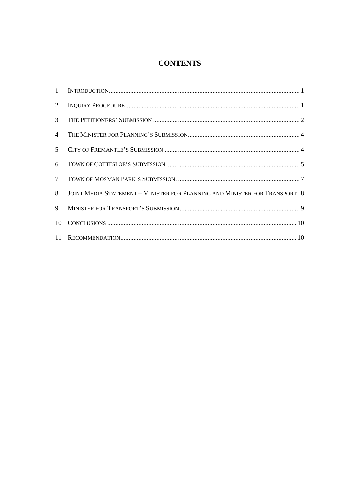# **CONTENTS**

| 2               |                                                                             |
|-----------------|-----------------------------------------------------------------------------|
| $3^{\circ}$     |                                                                             |
| $\overline{4}$  |                                                                             |
| 5 <sup>7</sup>  |                                                                             |
| 6               |                                                                             |
| $7\overline{ }$ |                                                                             |
| 8               | JOINT MEDIA STATEMENT - MINISTER FOR PLANNING AND MINISTER FOR TRANSPORT. 8 |
| 9               |                                                                             |
| 10              |                                                                             |
|                 |                                                                             |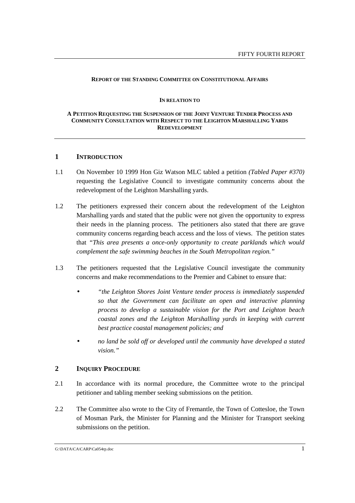#### **REPORT OF THE STANDING COMMITTEE ON CONSTITUTIONAL AFFAIRS**

#### **IN RELATION TO**

#### **A PETITION REQUESTING THE SUSPENSION OF THE JOINT VENTURE TENDER PROCESS AND COMMUNITY CONSULTATION WITH RESPECT TO THE LEIGHTON MARSHALLING YARDS REDEVELOPMENT**

## **1 INTRODUCTION**

- 1.1 On November 10 1999 Hon Giz Watson MLC tabled a petition *(Tabled Paper #370)* requesting the Legislative Council to investigate community concerns about the redevelopment of the Leighton Marshalling yards.
- 1.2 The petitioners expressed their concern about the redevelopment of the Leighton Marshalling yards and stated that the public were not given the opportunity to express their needs in the planning process. The petitioners also stated that there are grave community concerns regarding beach access and the loss of views. The petition states that *"This area presents a once-only opportunity to create parklands which would complement the safe swimming beaches in the South Metropolitan region."*
- 1.3 The petitioners requested that the Legislative Council investigate the community concerns and make recommendations to the Premier and Cabinet to ensure that:
	- *"the Leighton Shores Joint Venture tender process is immediately suspended so that the Government can facilitate an open and interactive planning process to develop a sustainable vision for the Port and Leighton beach coastal zones and the Leighton Marshalling yards in keeping with current best practice coastal management policies; and*
	- *no land be sold off or developed until the community have developed a stated vision."*

## **2 INQUIRY PROCEDURE**

- 2.1 In accordance with its normal procedure, the Committee wrote to the principal petitioner and tabling member seeking submissions on the petition.
- 2.2 The Committee also wrote to the City of Fremantle, the Town of Cottesloe, the Town of Mosman Park, the Minister for Planning and the Minister for Transport seeking submissions on the petition.

G:\DATA\CA\CARP\Ca054rp.doc 1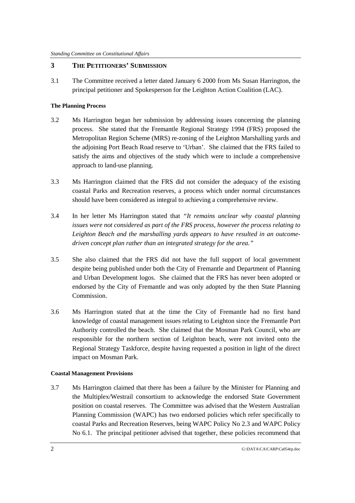## **3 THE PETITIONERS' SUBMISSION**

3.1 The Committee received a letter dated January 6 2000 from Ms Susan Harrington, the principal petitioner and Spokesperson for the Leighton Action Coalition (LAC).

### **The Planning Process**

- 3.2 Ms Harrington began her submission by addressing issues concerning the planning process. She stated that the Fremantle Regional Strategy 1994 (FRS) proposed the Metropolitan Region Scheme (MRS) re-zoning of the Leighton Marshalling yards and the adjoining Port Beach Road reserve to 'Urban'. She claimed that the FRS failed to satisfy the aims and objectives of the study which were to include a comprehensive approach to land-use planning.
- 3.3 Ms Harrington claimed that the FRS did not consider the adequacy of the existing coastal Parks and Recreation reserves, a process which under normal circumstances should have been considered as integral to achieving a comprehensive review.
- 3.4 In her letter Ms Harrington stated that *"It remains unclear why coastal planning issues were not considered as part of the FRS process, however the process relating to Leighton Beach and the marshalling yards appears to have resulted in an outcomedriven concept plan rather than an integrated strategy for the area."*
- 3.5 She also claimed that the FRS did not have the full support of local government despite being published under both the City of Fremantle and Department of Planning and Urban Development logos. She claimed that the FRS has never been adopted or endorsed by the City of Fremantle and was only adopted by the then State Planning Commission.
- 3.6 Ms Harrington stated that at the time the City of Fremantle had no first hand knowledge of coastal management issues relating to Leighton since the Fremantle Port Authority controlled the beach. She claimed that the Mosman Park Council, who are responsible for the northern section of Leighton beach, were not invited onto the Regional Strategy Taskforce, despite having requested a position in light of the direct impact on Mosman Park.

### **Coastal Management Provisions**

3.7 Ms Harrington claimed that there has been a failure by the Minister for Planning and the Multiplex/Westrail consortium to acknowledge the endorsed State Government position on coastal reserves. The Committee was advised that the Western Australian Planning Commission (WAPC) has two endorsed policies which refer specifically to coastal Parks and Recreation Reserves, being WAPC Policy No 2.3 and WAPC Policy No 6.1. The principal petitioner advised that together, these policies recommend that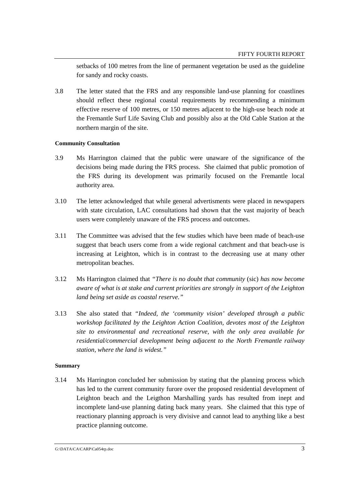setbacks of 100 metres from the line of permanent vegetation be used as the guideline for sandy and rocky coasts.

3.8 The letter stated that the FRS and any responsible land-use planning for coastlines should reflect these regional coastal requirements by recommending a minimum effective reserve of 100 metres, or 150 metres adjacent to the high-use beach node at the Fremantle Surf Life Saving Club and possibly also at the Old Cable Station at the northern margin of the site.

## **Community Consultation**

- 3.9 Ms Harrington claimed that the public were unaware of the significance of the decisions being made during the FRS process. She claimed that public promotion of the FRS during its development was primarily focused on the Fremantle local authority area.
- 3.10 The letter acknowledged that while general advertisments were placed in newspapers with state circulation, LAC consultations had shown that the vast majority of beach users were completely unaware of the FRS process and outcomes.
- 3.11 The Committee was advised that the few studies which have been made of beach-use suggest that beach users come from a wide regional catchment and that beach-use is increasing at Leighton, which is in contrast to the decreasing use at many other metropolitan beaches.
- 3.12 Ms Harrington claimed that *"There is no doubt that community* (sic) *has now become aware of what is at stake and current priorities are strongly in support of the Leighton land being set aside as coastal reserve."*
- 3.13 She also stated that *"Indeed, the 'community vision' developed through a public workshop facilitated by the Leighton Action Coalition, devotes most of the Leighton site to environmental and recreational reserve, with the only area available for residential/commercial development being adjacent to the North Fremantle railway station, where the land is widest."*

### **Summary**

3.14 Ms Harrington concluded her submission by stating that the planning process which has led to the current community furore over the proposed residential development of Leighton beach and the Leigthon Marshalling yards has resulted from inept and incomplete land-use planning dating back many years. She claimed that this type of reactionary planning approach is very divisive and cannot lead to anything like a best practice planning outcome.

G:\DATA\CA\CARP\Ca054rp.doc 3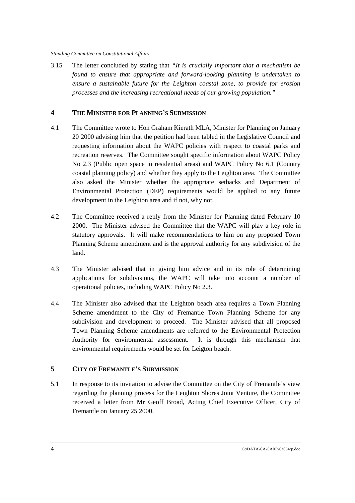3.15 The letter concluded by stating that *"It is crucially important that a mechanism be found to ensure that appropriate and forward-looking planning is undertaken to ensure a sustainable future for the Leighton coastal zone, to provide for erosion processes and the increasing recreational needs of our growing population."*

## **4 THE MINISTER FOR PLANNING'S SUBMISSION**

- 4.1 The Committee wrote to Hon Graham Kierath MLA, Minister for Planning on January 20 2000 advising him that the petition had been tabled in the Legislative Council and requesting information about the WAPC policies with respect to coastal parks and recreation reserves. The Committee sought specific information about WAPC Policy No 2.3 (Public open space in residential areas) and WAPC Policy No 6.1 (Country coastal planning policy) and whether they apply to the Leighton area. The Committee also asked the Minister whether the appropriate setbacks and Department of Environmental Protection (DEP) requirements would be applied to any future development in the Leighton area and if not, why not.
- 4.2 The Committee received a reply from the Minister for Planning dated February 10 2000. The Minister advised the Committee that the WAPC will play a key role in statutory approvals. It will make recommendations to him on any proposed Town Planning Scheme amendment and is the approval authority for any subdivision of the land.
- 4.3 The Minister advised that in giving him advice and in its role of determining applications for subdivisions, the WAPC will take into account a number of operational policies, including WAPC Policy No 2.3.
- 4.4 The Minister also advised that the Leighton beach area requires a Town Planning Scheme amendment to the City of Fremantle Town Planning Scheme for any subdivision and development to proceed. The Minister advised that all proposed Town Planning Scheme amendments are referred to the Environmental Protection Authority for environmental assessment. It is through this mechanism that environmental requirements would be set for Leigton beach.

## **5 CITY OF FREMANTLE'S SUBMISSION**

5.1 In response to its invitation to advise the Committee on the City of Fremantle's view regarding the planning process for the Leighton Shores Joint Venture, the Committee received a letter from Mr Geoff Broad, Acting Chief Executive Officer, City of Fremantle on January 25 2000.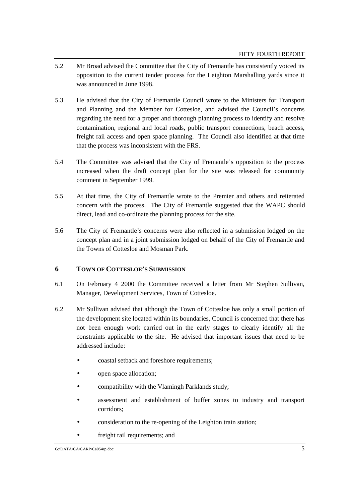- 5.2 Mr Broad advised the Committee that the City of Fremantle has consistently voiced its opposition to the current tender process for the Leighton Marshalling yards since it was announced in June 1998.
- 5.3 He advised that the City of Fremantle Council wrote to the Ministers for Transport and Planning and the Member for Cottesloe, and advised the Council's concerns regarding the need for a proper and thorough planning process to identify and resolve contamination, regional and local roads, public transport connections, beach access, freight rail access and open space planning. The Council also identified at that time that the process was inconsistent with the FRS.
- 5.4 The Committee was advised that the City of Fremantle's opposition to the process increased when the draft concept plan for the site was released for community comment in September 1999.
- 5.5 At that time, the City of Fremantle wrote to the Premier and others and reiterated concern with the process. The City of Fremantle suggested that the WAPC should direct, lead and co-ordinate the planning process for the site.
- 5.6 The City of Fremantle's concerns were also reflected in a submission lodged on the concept plan and in a joint submission lodged on behalf of the City of Fremantle and the Towns of Cottesloe and Mosman Park.

# **6 TOWN OF COTTESLOE'S SUBMISSION**

- 6.1 On February 4 2000 the Committee received a letter from Mr Stephen Sullivan, Manager, Development Services, Town of Cottesloe.
- 6.2 Mr Sullivan advised that although the Town of Cottesloe has only a small portion of the development site located within its boundaries, Council is concerned that there has not been enough work carried out in the early stages to clearly identify all the constraints applicable to the site. He advised that important issues that need to be addressed include:
	- coastal setback and foreshore requirements;
	- open space allocation;
	- compatibility with the Vlamingh Parklands study;
	- assessment and establishment of buffer zones to industry and transport corridors;
	- consideration to the re-opening of the Leighton train station;
	- freight rail requirements; and

G:\DATA\CA\CARP\Ca054rp.doc 5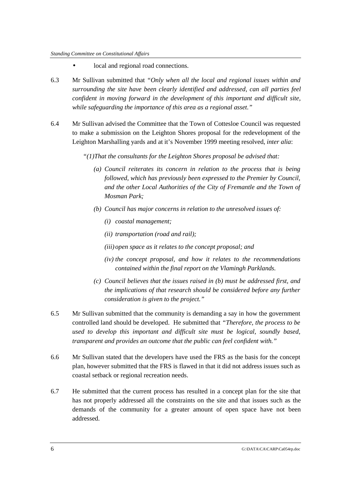- local and regional road connections.
- 6.3 Mr Sullivan submitted that *"Only when all the local and regional issues within and surrounding the site have been clearly identified and addressed, can all parties feel confident in moving forward in the development of this important and difficult site, while safeguarding the importance of this area as a regional asset."*
- 6.4 Mr Sullivan advised the Committee that the Town of Cottesloe Council was requested to make a submission on the Leighton Shores proposal for the redevelopment of the Leighton Marshalling yards and at it's November 1999 meeting resolved, *inter alia*:
	- *"(1)That the consultants for the Leighton Shores proposal be advised that:*
		- *(a) Council reiterates its concern in relation to the process that is being followed, which has previously been expressed to the Premier by Council, and the other Local Authorities of the City of Fremantle and the Town of Mosman Park;*
		- *(b) Council has major concerns in relation to the unresolved issues of:*
			- *(i) coastal management;*
			- *(ii) transportation (road and rail);*
			- *(iii)open space as it relates to the concept proposal; and*
			- *(iv) the concept proposal, and how it relates to the recommendations contained within the final report on the Vlamingh Parklands.*
		- *(c) Council believes that the issues raised in (b) must be addressed first, and the implications of that research should be considered before any further consideration is given to the project."*
- 6.5 Mr Sullivan submitted that the community is demanding a say in how the government controlled land should be developed. He submitted that *"Therefore, the process to be used to develop this important and difficult site must be logical, soundly based, transparent and provides an outcome that the public can feel confident with."*
- 6.6 Mr Sullivan stated that the developers have used the FRS as the basis for the concept plan, however submitted that the FRS is flawed in that it did not address issues such as coastal setback or regional recreation needs.
- 6.7 He submitted that the current process has resulted in a concept plan for the site that has not properly addressed all the constraints on the site and that issues such as the demands of the community for a greater amount of open space have not been addressed.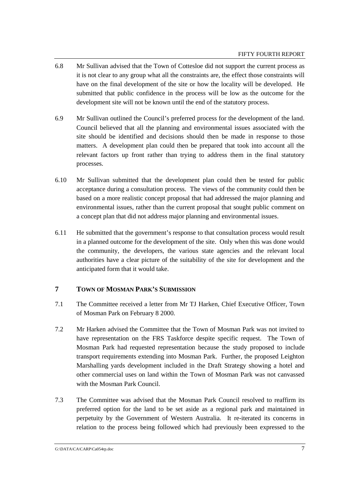- 6.8 Mr Sullivan advised that the Town of Cottesloe did not support the current process as it is not clear to any group what all the constraints are, the effect those constraints will have on the final development of the site or how the locality will be developed. He submitted that public confidence in the process will be low as the outcome for the development site will not be known until the end of the statutory process.
- 6.9 Mr Sullivan outlined the Council's preferred process for the development of the land. Council believed that all the planning and environmental issues associated with the site should be identified and decisions should then be made in response to those matters. A development plan could then be prepared that took into account all the relevant factors up front rather than trying to address them in the final statutory processes.
- 6.10 Mr Sullivan submitted that the development plan could then be tested for public acceptance during a consultation process. The views of the community could then be based on a more realistic concept proposal that had addressed the major planning and environmental issues, rather than the current proposal that sought public comment on a concept plan that did not address major planning and environmental issues.
- 6.11 He submitted that the government's response to that consultation process would result in a planned outcome for the development of the site. Only when this was done would the community, the developers, the various state agencies and the relevant local authorities have a clear picture of the suitability of the site for development and the anticipated form that it would take.

## **7 TOWN OF MOSMAN PARK'S SUBMISSION**

- 7.1 The Committee received a letter from Mr TJ Harken, Chief Executive Officer, Town of Mosman Park on February 8 2000.
- 7.2 Mr Harken advised the Committee that the Town of Mosman Park was not invited to have representation on the FRS Taskforce despite specific request. The Town of Mosman Park had requested representation because the study proposed to include transport requirements extending into Mosman Park. Further, the proposed Leighton Marshalling yards development included in the Draft Strategy showing a hotel and other commercial uses on land within the Town of Mosman Park was not canvassed with the Mosman Park Council.
- 7.3 The Committee was advised that the Mosman Park Council resolved to reaffirm its preferred option for the land to be set aside as a regional park and maintained in perpetuity by the Government of Western Australia. It re-iterated its concerns in relation to the process being followed which had previously been expressed to the

G:\DATA\CA\CARP\Ca054rp.doc 7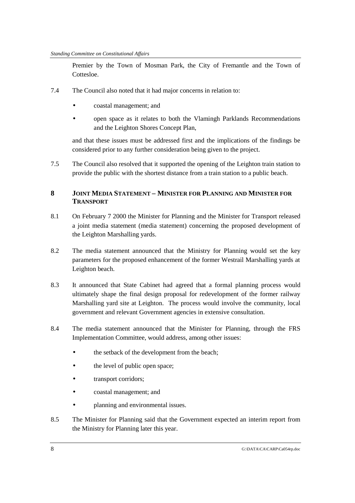Premier by the Town of Mosman Park, the City of Fremantle and the Town of Cottesloe.

- 7.4 The Council also noted that it had major concerns in relation to:
	- coastal management; and
	- open space as it relates to both the Vlamingh Parklands Recommendations and the Leighton Shores Concept Plan,

and that these issues must be addressed first and the implications of the findings be considered prior to any further consideration being given to the project.

7.5 The Council also resolved that it supported the opening of the Leighton train station to provide the public with the shortest distance from a train station to a public beach.

# **8 JOINT MEDIA STATEMENT – MINISTER FOR PLANNING AND MINISTER FOR TRANSPORT**

- 8.1 On February 7 2000 the Minister for Planning and the Minister for Transport released a joint media statement (media statement) concerning the proposed development of the Leighton Marshalling yards.
- 8.2 The media statement announced that the Ministry for Planning would set the key parameters for the proposed enhancement of the former Westrail Marshalling yards at Leighton beach.
- 8.3 It announced that State Cabinet had agreed that a formal planning process would ultimately shape the final design proposal for redevelopment of the former railway Marshalling yard site at Leighton. The process would involve the community, local government and relevant Government agencies in extensive consultation.
- 8.4 The media statement announced that the Minister for Planning, through the FRS Implementation Committee, would address, among other issues:
	- the setback of the development from the beach;
	- the level of public open space;
	- transport corridors;
	- coastal management; and
	- planning and environmental issues.
- 8.5 The Minister for Planning said that the Government expected an interim report from the Ministry for Planning later this year.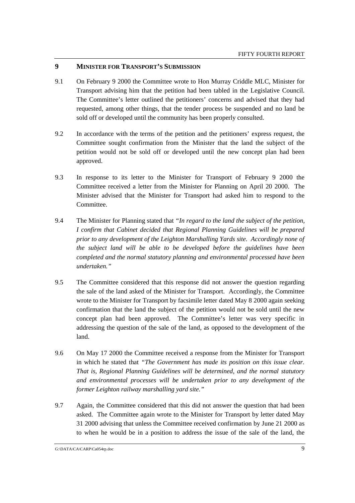### **9 MINISTER FOR TRANSPORT'S SUBMISSION**

- 9.1 On February 9 2000 the Committee wrote to Hon Murray Criddle MLC, Minister for Transport advising him that the petition had been tabled in the Legislative Council. The Committee's letter outlined the petitioners' concerns and advised that they had requested, among other things, that the tender process be suspended and no land be sold off or developed until the community has been properly consulted.
- 9.2 In accordance with the terms of the petition and the petitioners' express request, the Committee sought confirmation from the Minister that the land the subject of the petition would not be sold off or developed until the new concept plan had been approved.
- 9.3 In response to its letter to the Minister for Transport of February 9 2000 the Committee received a letter from the Minister for Planning on April 20 2000. The Minister advised that the Minister for Transport had asked him to respond to the Committee.
- 9.4 The Minister for Planning stated that *"In regard to the land the subject of the petition, I confirm that Cabinet decided that Regional Planning Guidelines will be prepared prior to any development of the Leighton Marshalling Yards site. Accordingly none of the subject land will be able to be developed before the guidelines have been completed and the normal statutory planning and environmental processed have been undertaken."*
- 9.5 The Committee considered that this response did not answer the question regarding the sale of the land asked of the Minister for Transport. Accordingly, the Committee wrote to the Minister for Transport by facsimile letter dated May 8 2000 again seeking confirmation that the land the subject of the petition would not be sold until the new concept plan had been approved. The Committee's letter was very specific in addressing the question of the sale of the land, as opposed to the development of the land.
- 9.6 On May 17 2000 the Committee received a response from the Minister for Transport in which he stated that *"The Government has made its position on this issue clear. That is, Regional Planning Guidelines will be determined, and the normal statutory and environmental processes will be undertaken prior to any development of the former Leighton railway marshalling yard site."*
- 9.7 Again, the Committee considered that this did not answer the question that had been asked. The Committee again wrote to the Minister for Transport by letter dated May 31 2000 advising that unless the Committee received confirmation by June 21 2000 as to when he would be in a position to address the issue of the sale of the land, the

G:\DATA\CA\CARP\Ca054rp.doc 9